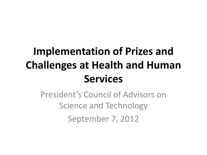# **Implementation of Prizes and Challenges at Health and Human Services**

President's Council of Advisors on Science and Technology September 7, 2012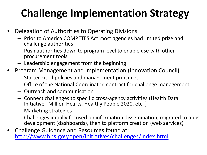# **Challenge Implementation Strategy**

- Delegation of Authorities to Operating Divisions
	- Prior to America COMPETES Act most agencies had limited prize and challenge authorities
	- Push authorities down to program level to enable use with other procurement tools
	- Leadership engagement from the beginning
- Program Management and Implementation (Innovation Council)
	- Starter kit of policies and management principles
	- Office of the National Coordinator contract for challenge management
	- Outreach and communication
	- Connect challenges to specific cross-agency activities (Health Data Initiative, Million Hearts, Healthy People 2020, etc. )
	- Marketing strategies
	- Challenges initially focused on information dissemination, migrated to apps development (dashboards), then to platform creation (web services)
- Challenge Guidance and Resources found at: <http://www.hhs.gov/open/initiatives/challenges/index.html>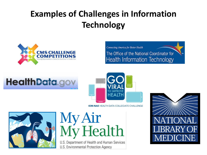## **Examples of Challenges in Information Technology**



**Connecting America for Better Health** The Office of the National Coordinator for **Health Information Technology** 

# **HealthData.go**



**IOM-NAE HEALTH DATA COLLEGIATE CHALLENGE** 



My Air<br>My Health

U.S. Department of Health and Human Services U.S. Environmental Protection Agency

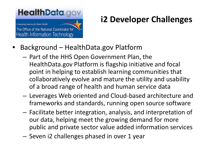#### **HealthData.g**

**Connecting America for Better Health** The Office of the National Coordinator for **Health Information Technology** 

### **i2 Developer Challenges**

- Background HealthData.gov Platform
	- Part of the HHS Open Government Plan, the HealthData.gov Platform is flagship initiative and focal point in helping to establish learning communities that collaboratively evolve and mature the utility and usability of a broad range of health and human service data
	- Leverages Web oriented and Cloud-based architecture and frameworks and standards, running open source software
	- Facilitate better integration, analysis, and interpretation of our data, helping meet the growing demand for more public and private sector value added information services
	- Seven i2 challenges phased in over 1 year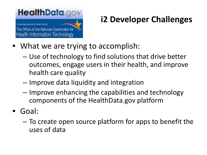### **HealthData.gov**

**Connecting America for Better Health** The Office of the National Coordinator for **Health Information Technology** 

### **i2 Developer Challenges**

- What we are trying to accomplish:
	- Use of technology to find solutions that drive better outcomes, engage users in their health, and improve health care quality
	- Improve data liquidity and integration
	- Improve enhancing the capabilities and technology components of the HealthData.gov platform
- Goal:
	- To create open source platform for apps to benefit the uses of data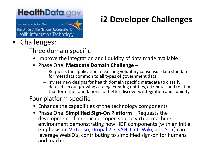### **HealthData.go**

**Connecting America for Better Health** 

The Office of the National Coordinator for **Health Information Technology** 

#### • Challenges:

- Three domain specific
	- Improve the integration and liquidity of data made available
	- Phase One: **Metadata Domain Challenge** 
		- Requests the application of existing voluntary consensus data standards for metadata common to all types of government data
		- Invites new designs for health domain specific metadata to classify datasets in our growing catalog, creating entities, attributes and relations that form the foundations for better discovery, integration and liquidity.

#### – Four platform specific

- Enhance the capabilities of the technology components
- Phase One: **Simplified Sign-On Platform**  Requests the development of a replicable open source virtual machine environment demonstrating how HDP components (with an initial emphasis on *Virtuoso*, [Drupal](http://www.acquia.com/downloads) 7, [CKAN,](http://ckan.org/) [OntoWiki,](http://ontowiki.net/Projects/OntoWiki) and [Solr\)](http://lucene.apache.org/solr/) can leverage WebID's, contributing to simplified sign-on for humans and machines.

## **i2 Developer Challenges**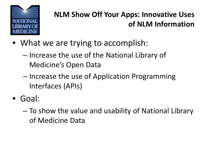

#### **NLM Show Off Your Apps: Innovative Uses of NLM Information**

- What we are trying to accomplish:
	- Increase the use of the National Library of Medicine's Open Data
	- Increase the use of Application Programming Interfaces (APIs)
- Goal:
	- To show the value and usability of National Library of Medicine Data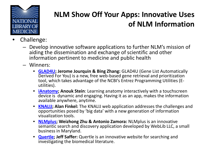

#### **NLM Show Off Your Apps: Innovative Uses of NLM Information**

- Challenge:
	- Develop innovative software applications to further NLM's mission of aiding the dissemination and exchange of scientific and other information pertinent to medicine and public health
	- Winners:
		- **[GLAD4U](http://bioinfo.vanderbilt.edu/glad4u); Jerome Jourquin & Bing Zhang:** GLAD4U (Gene List Automatically Derived For You) is a new, free web-based gene retrieval and prioritization tool, which takes advantage of the NCBI's Entrez Programming Utilities (E- utilities).
		- **[iAnatomy;](http://itunes.apple.com/us/app/ianatomy/id328875702?mt=8) Anouk Stein**: Learning anatomy interactively with a touchscreen device is dynamic and engaging. Having it as an app, makes the information available anywhere, anytime.
		- **[KNALIJ;](http://knalij.com/) Alan Finkel:** The KNALIJ web application addresses the challenges and opportunities posed by 'big data' with a new generation of information visualization tools.
		- **[NLMplus;](http://nlmplus.com/about.html) Weizhong Zhu & Antonio Zamora:** NLMplus is an innovative semantic search and discovery application developed by WebLib LLC, a small business in Maryland.
		- **[Quertle](http://www.quertle.info/); Jeff Saffer:** Quertle is an innovative website for searching and investigating the biomedical literature.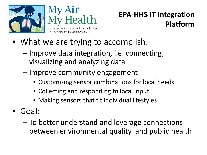

#### **EPA-HHS IT Integration Platform**

- What we are trying to accomplish:
	- Improve data integration, i.e. connecting, visualizing and analyzing data
	- Improve community engagement
		- Customizing sensor combinations for local needs
		- Collecting and responding to local input
		- Making sensors that fit individual lifestyles
- Goal:
	- To better understand and leverage connections between environmental quality and public health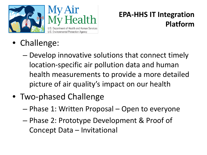

#### **EPA-HHS IT Integration Platform**

- Challenge:
	- Develop innovative solutions that connect timely location-specific air pollution data and human health measurements to provide a more detailed picture of air quality's impact on our health
- Two-phased Challenge
	- Phase 1: Written Proposal Open to everyone
	- Phase 2: Prototype Development & Proof of Concept Data – Invitational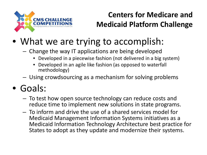

#### **Centers for Medicare and Medicaid Platform Challenge**

## • What we are trying to accomplish:

- Change the way IT applications are being developed
	- Developed in a piecewise fashion (not delivered in a big system)
	- Developed in an agile like fashion (as opposed to waterfall methodology)
- Using crowdsourcing as a mechanism for solving problems

## • Goals:

- To test how open source technology can reduce costs and reduce time to implement new solutions in state programs.
- To inform and drive the use of a shared services model for Medicaid Management Information Systems initiatives as a Medicaid Information Technology Architecture best practice for States to adopt as they update and modernize their systems.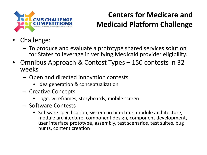

#### **Centers for Medicare and Medicaid Platform Challenge**

- Challenge:
	- To produce and evaluate a prototype shared services solution for States to leverage in verifying Medicaid provider eligibility.
- Omnibus Approach & Contest Types 150 contests in 32 weeks
	- Open and directed innovation contests
		- Idea generation & conceptualization
	- Creative Concepts
		- Logo, wireframes, storyboards, mobile screen
	- Software Contests
		- Software specification, system architecture, module architecture, module architecture, component design, component development, user interface prototype, assembly, test scenarios, test suites, bug hunts, content creation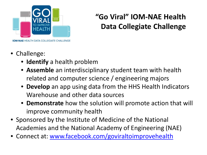

#### **"Go Viral" IOM-NAE Health Data Collegiate Challenge**

- Challenge:
	- **Identify** a health problem
	- **Assemble** an interdisciplinary student team with health related and computer science / engineering majors
	- **Develop** an app using data from the HHS Health Indicators Warehouse and other data sources
	- **Demonstrate** how the solution will promote action that will improve community health
- Sponsored by the Institute of Medicine of the National Academies and the National Academy of Engineering (NAE)
- Connect at: [www.facebook.com/goviraltoimprovehealth](http://www.facebook.com/goviraltoimprovehealth)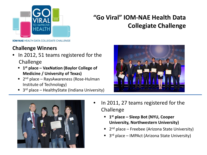

#### **"Go Viral" IOM-NAE Health Data Collegiate Challenge**

**IOM-NAE HEALTH DATA COLLEGIATE CHALLENGE** 

#### **Challenge Winners**

- In 2012, 51 teams registered for the Challenge
	- **1st place – VaxNation (Baylor College of Medicine / University of Texas)**
	- $\blacksquare$  2<sup>nd</sup> place RaysAwareness (Rose-Hulman Institute of Technology)
	- $\blacksquare$  3<sup>rd</sup> place HealthyState (Indiana University)





- In 2011, 27 teams registered for the Challenge
	- **1st place – Sleep Bot (NYU, Cooper University, Northwestern University)**
	- $2<sup>nd</sup>$  place Freebee (Arizona State University)
	- 3rd place IMPAct (Arizona State University)